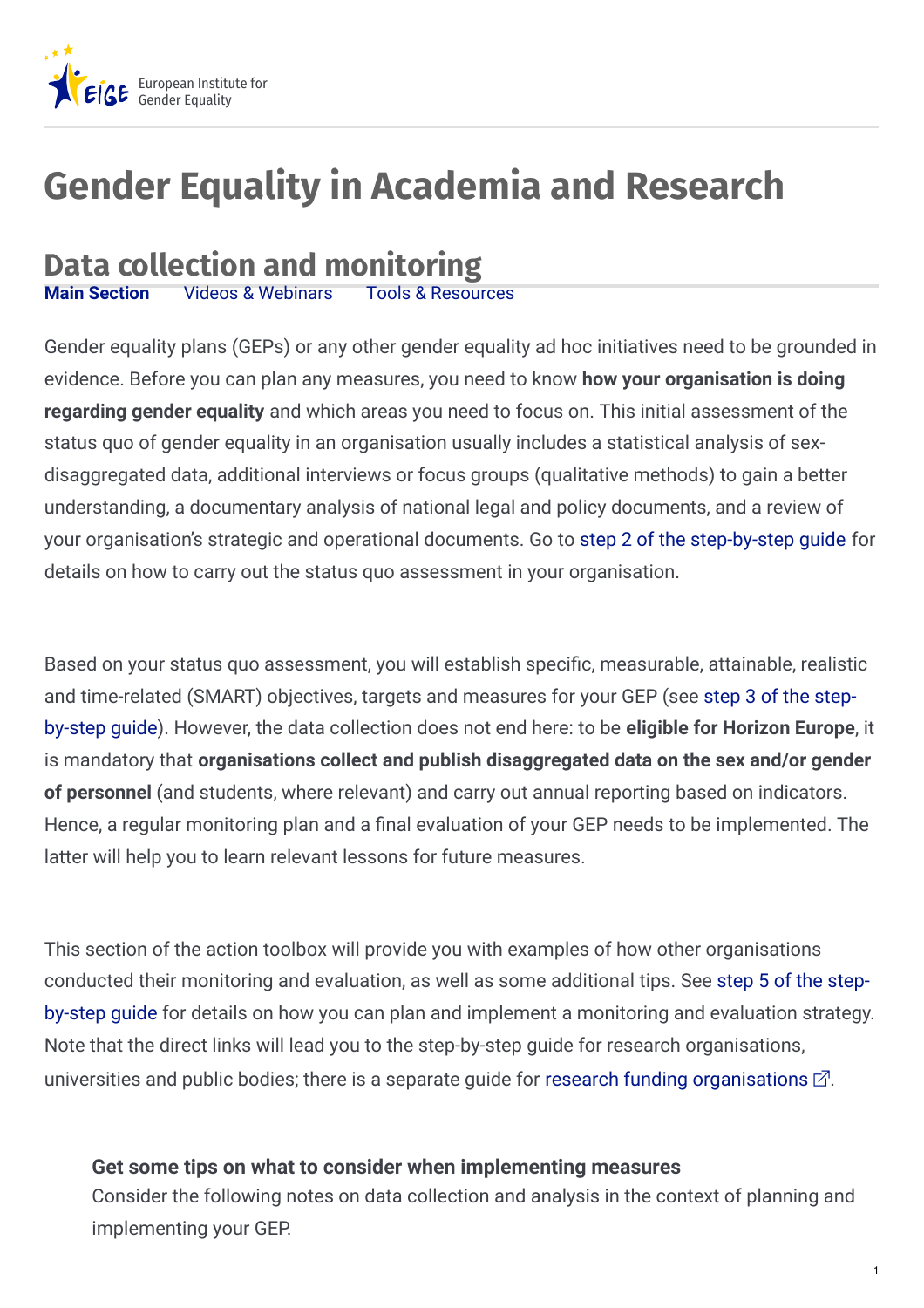

## **Gender Equality in Academia and Research**

## **Data collection and monitoring**

**Main [Section](https://eige.europa.eu/gender-mainstreaming/toolkits/gear/data-collection-and-monitoring#panel3-1)** Videos & [Webinars](https://eige.europa.eu/gender-mainstreaming/toolkits/gear/data-collection-and-monitoring#panel3-2) Tools & [Resources](https://eige.europa.eu/gender-mainstreaming/toolkits/gear/data-collection-and-monitoring#panel3-3)

Gender equality plans (GEPs) or any other gender equality ad hoc initiatives need to be grounded in evidence. Before you can plan any measures, you need to know **how your organisation is doing regarding gender equality** and which areas you need to focus on. This initial assessment of the status quo of gender equality in an organisation usually includes a statistical analysis of sexdisaggregated data, additional interviews or focus groups (qualitative methods) to gain a better understanding, a documentary analysis of national legal and policy documents, and a review of your organisation's strategic and operational documents. Go to step 2 of the [step-by-step](https://eige.europa.eu/gender-mainstreaming/toolkits/gear/step-step-guide/step-2) guide for details on how to carry out the status quo assessment in your organisation.

Based on your status quo assessment, you will establish specific, measurable, attainable, realistic and [time-related](https://eige.europa.eu/gender-mainstreaming/toolkits/gear/step-step-guide/step-3) (SMART) objectives, targets and measures for your GEP (see step 3 of the stepby-step guide). However, the data collection does not end here: to be **eligible for Horizon Europe**, it is mandatory that **organisations collect and publish disaggregated data on the sex and/or gender of personnel** (and students, where relevant) and carry out annual reporting based on indicators. Hence, a regular monitoring plan and a final evaluation of your GEP needs to be implemented. The latter will help you to learn relevant lessons for future measures.

This section of the action toolbox will provide you with examples of how other organisations conducted their [monitoring](https://eige.europa.eu/gender-mainstreaming/toolkits/gear/step-step-guide/step-5) and evaluation, as well as some additional tips. See step 5 of the stepby-step guide for details on how you can plan and implement a monitoring and evaluation strategy. Note that the direct links will lead you to the step-by-step guide for research organisations, universities and public bodies; there is a separate quide for research funding [organisations](https://eige.europa.eu/gender-mainstreaming/toolkits/gear/step-step-guide-research-funding)  $\mathbb{Z}$ .

## **Get some tips on what to consider when implementing measures**

Consider the following notes on data collection and analysis in the context of planning and implementing your GEP.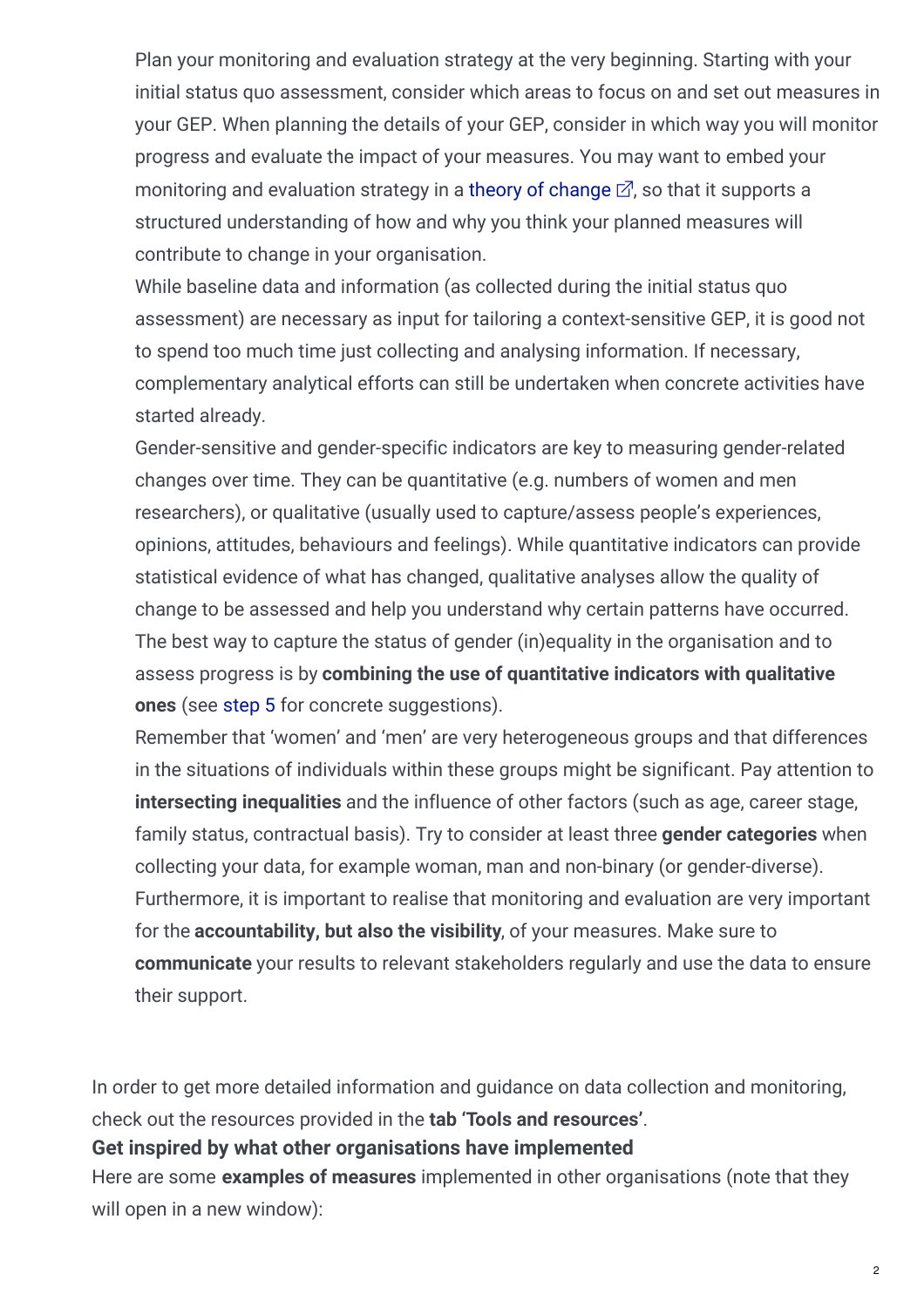Plan your monitoring and evaluation strategy at the very beginning. Starting with your initial status quo assessment, consider which areas to focus on and set out measures in your GEP. When planning the details of your GEP, consider in which way you will monitor progress and evaluate the impact of your measures. You may want to embed your monitoring and evaluation strategy in a theory of [change](https://www.unwomen.org/sites/default/files/Headquarters/Attachments/Sections/How We Work/UNSystemCoordination/UN-SWAP/UN-SWAP-2-Theory-of-change-for-system-wide-gender-related-results-FAQs.pdf)  $\mathbb{Z}$ , so that it supports a structured understanding of how and why you think your planned measures will contribute to change in your organisation.

While baseline data and information (as collected during the initial status quo assessment) are necessary as input for tailoring a context-sensitive GEP, it is good not to spend too much time just collecting and analysing information. If necessary, complementary analytical efforts can still be undertaken when concrete activities have started already.

Gender-sensitive and gender-specific indicators are key to measuring gender-related changes over time. They can be quantitative (e.g. numbers of women and men researchers), or qualitative (usually used to capture/assess people's experiences, opinions, attitudes, behaviours and feelings). While quantitative indicators can provide statistical evidence of what has changed, qualitative analyses allow the quality of change to be assessed and help you understand why certain patterns have occurred. The best way to capture the status of gender (in)equality in the organisation and to assess progress is by **combining the use of quantitative indicators with qualitative ones** (see [step](https://eige.europa.eu/gender-mainstreaming/toolkits/gear/step-step-guide/step-5) 5 for concrete suggestions).

Remember that 'women' and 'men' are very heterogeneous groups and that differences in the situations of individuals within these groups might be significant. Pay attention to **intersecting inequalities** and the influence of other factors (such as age, career stage, family status, contractual basis). Try to consider at least three **gender categories** when collecting your data, for example woman, man and non-binary (or gender-diverse). Furthermore, it is important to realise that monitoring and evaluation are very important for the **accountability, but also the visibility**, of your measures. Make sure to **communicate** your results to relevant stakeholders regularly and use the data to ensure their support.

In order to get more detailed information and guidance on data collection and monitoring, check out the resources provided in the **tab 'Tools and resources'**.

**Get inspired by what other organisations have implemented**

Here are some **examples of measures** implemented in other organisations (note that they will open in a new window):